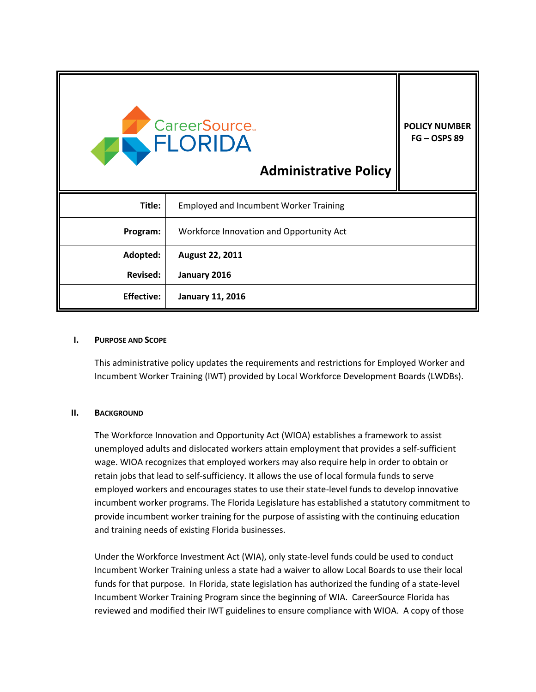| <b>CareerSource.</b><br><b>EN FLORIDA</b><br><b>Administrative Policy</b> |                                               | <b>POLICY NUMBER</b><br>$FG - OSPS 89$ |
|---------------------------------------------------------------------------|-----------------------------------------------|----------------------------------------|
| Title:                                                                    | <b>Employed and Incumbent Worker Training</b> |                                        |
| Program:                                                                  | Workforce Innovation and Opportunity Act      |                                        |
| Adopted:                                                                  | August 22, 2011                               |                                        |
| <b>Revised:</b>                                                           | January 2016                                  |                                        |
| <b>Effective:</b>                                                         | <b>January 11, 2016</b>                       |                                        |

### **I. PURPOSE AND SCOPE**

This administrative policy updates the requirements and restrictions for Employed Worker and Incumbent Worker Training (IWT) provided by Local Workforce Development Boards (LWDBs).

### **II. BACKGROUND**

The Workforce Innovation and Opportunity Act (WIOA) establishes a framework to assist unemployed adults and dislocated workers attain employment that provides a self-sufficient wage. WIOA recognizes that employed workers may also require help in order to obtain or retain jobs that lead to self-sufficiency. It allows the use of local formula funds to serve employed workers and encourages states to use their state-level funds to develop innovative incumbent worker programs. The Florida Legislature has established a statutory commitment to provide incumbent worker training for the purpose of assisting with the continuing education and training needs of existing Florida businesses.

Under the Workforce Investment Act (WIA), only state-level funds could be used to conduct Incumbent Worker Training unless a state had a waiver to allow Local Boards to use their local funds for that purpose. In Florida, state legislation has authorized the funding of a state-level Incumbent Worker Training Program since the beginning of WIA. CareerSource Florida has reviewed and modified their IWT guidelines to ensure compliance with WIOA. A copy of those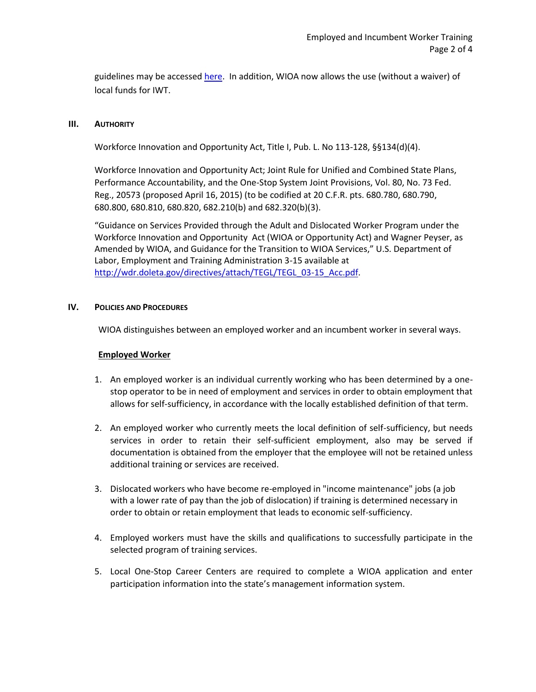guidelines may be accesse[d here.](http://careersourceflorida.com/training-solutions/incumbent-worker-training/) In addition, WIOA now allows the use (without a waiver) of local funds for IWT.

### **III. AUTHORITY**

Workforce Innovation and Opportunity Act, Title I, Pub. L. No 113-128, §§134(d)(4).

Workforce Innovation and Opportunity Act; Joint Rule for Unified and Combined State Plans, Performance Accountability, and the One-Stop System Joint Provisions, Vol. 80, No. 73 Fed. Reg., 20573 (proposed April 16, 2015) (to be codified at 20 C.F.R. pts. 680.780, 680.790, 680.800, 680.810, 680.820, 682.210(b) and 682.320(b)(3).

"Guidance on Services Provided through the Adult and Dislocated Worker Program under the Workforce Innovation and Opportunity Act (WIOA or Opportunity Act) and Wagner Peyser, as Amended by WIOA, and Guidance for the Transition to WIOA Services," U.S. Department of Labor, Employment and Training Administration 3-15 available at [http://wdr.doleta.gov/directives/attach/TEGL/TEGL\\_03-15\\_Acc.pdf.](http://wdr.doleta.gov/directives/attach/TEGL/TEGL_03-15_Acc.pdf)

## **IV. POLICIES AND PROCEDURES**

WIOA distinguishes between an employed worker and an incumbent worker in several ways.

## **Employed Worker**

- 1. An employed worker is an individual currently working who has been determined by a onestop operator to be in need of employment and services in order to obtain employment that allows for self-sufficiency, in accordance with the locally established definition of that term.
- 2. An employed worker who currently meets the local definition of self-sufficiency, but needs services in order to retain their self-sufficient employment, also may be served if documentation is obtained from the employer that the employee will not be retained unless additional training or services are received.
- 3. Dislocated workers who have become re-employed in "income maintenance" jobs (a job with a lower rate of pay than the job of dislocation) if training is determined necessary in order to obtain or retain employment that leads to economic self-sufficiency.
- 4. Employed workers must have the skills and qualifications to successfully participate in the selected program of training services.
- 5. Local One-Stop Career Centers are required to complete a WIOA application and enter participation information into the state's management information system.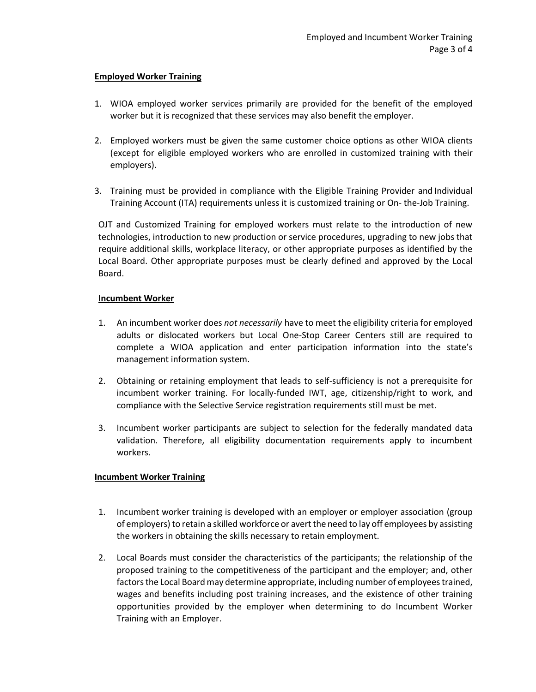## **Employed Worker Training**

- 1. WIOA employed worker services primarily are provided for the benefit of the employed worker but it is recognized that these services may also benefit the employer.
- 2. Employed workers must be given the same customer choice options as other WIOA clients (except for eligible employed workers who are enrolled in customized training with their employers).
- 3. Training must be provided in compliance with the Eligible Training Provider and Individual Training Account (ITA) requirements unless it is customized training or On- the-Job Training.

OJT and Customized Training for employed workers must relate to the introduction of new technologies, introduction to new production or service procedures, upgrading to new jobs that require additional skills, workplace literacy, or other appropriate purposes as identified by the Local Board. Other appropriate purposes must be clearly defined and approved by the Local Board.

## **Incumbent Worker**

- 1. An incumbent worker does *not necessarily* have to meet the eligibility criteria for employed adults or dislocated workers but Local One-Stop Career Centers still are required to complete a WIOA application and enter participation information into the state's management information system.
- 2. Obtaining or retaining employment that leads to self-sufficiency is not a prerequisite for incumbent worker training. For locally-funded IWT, age, citizenship/right to work, and compliance with the Selective Service registration requirements still must be met.
- 3. Incumbent worker participants are subject to selection for the federally mandated data validation. Therefore, all eligibility documentation requirements apply to incumbent workers.

# **Incumbent Worker Training**

- 1. Incumbent worker training is developed with an employer or employer association (group of employers) to retain a skilled workforce or avert the need to lay off employees by assisting the workers in obtaining the skills necessary to retain employment.
- 2. Local Boards must consider the characteristics of the participants; the relationship of the proposed training to the competitiveness of the participant and the employer; and, other factors the Local Board may determine appropriate, including number of employees trained, wages and benefits including post training increases, and the existence of other training opportunities provided by the employer when determining to do Incumbent Worker Training with an Employer.